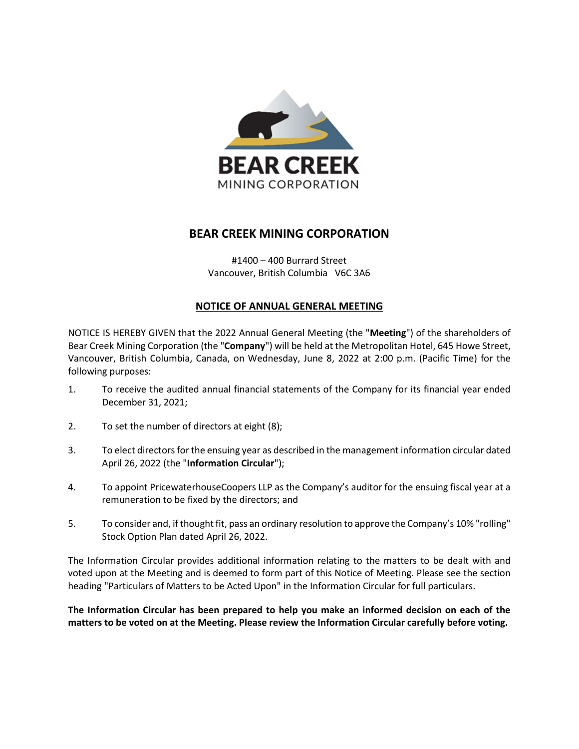

# **BEAR CREEK MINING CORPORATION**

#1400 – 400 Burrard Street Vancouver, British Columbia V6C 3A6

## **NOTICE OF ANNUAL GENERAL MEETING**

NOTICE IS HEREBY GIVEN that the 2022 Annual General Meeting (the "**Meeting**") of the shareholders of Bear Creek Mining Corporation (the "**Company**") will be held at the Metropolitan Hotel, 645 Howe Street, Vancouver, British Columbia, Canada, on Wednesday, June 8, 2022 at 2:00 p.m. (Pacific Time) for the following purposes:

- 1. To receive the audited annual financial statements of the Company for its financial year ended December 31, 2021;
- 2. To set the number of directors at eight (8);
- 3. To elect directors for the ensuing year as described in the management information circular dated April 26, 2022 (the "**Information Circular**");
- 4. To appoint PricewaterhouseCoopers LLP as the Company's auditor for the ensuing fiscal year at a remuneration to be fixed by the directors; and
- 5. To consider and, if thought fit, pass an ordinary resolution to approve the Company's 10% "rolling" Stock Option Plan dated April 26, 2022.

The Information Circular provides additional information relating to the matters to be dealt with and voted upon at the Meeting and is deemed to form part of this Notice of Meeting. Please see the section heading "Particulars of Matters to be Acted Upon" in the Information Circular for full particulars.

**The Information Circular has been prepared to help you make an informed decision on each of the matters to be voted on at the Meeting. Please review the Information Circular carefully before voting.**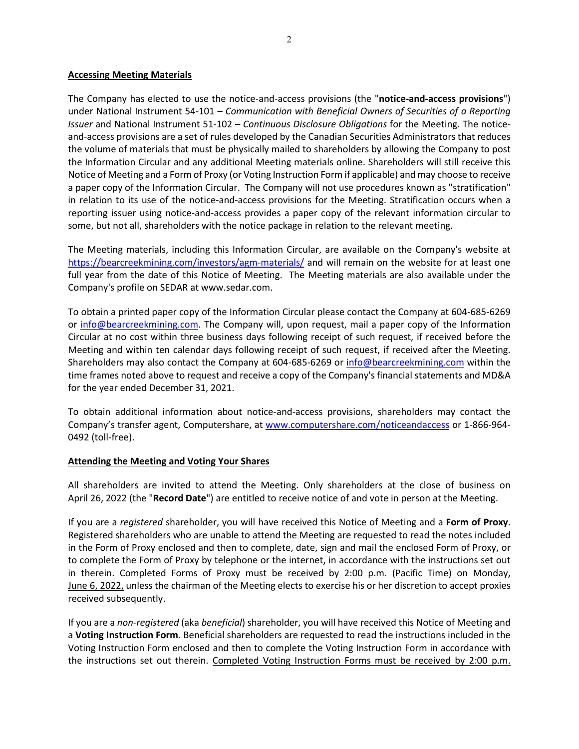### **Accessing Meeting Materials**

The Company has elected to use the notice-and-access provisions (the "**notice-and-access provisions**") under National Instrument 54-101 – *Communication with Beneficial Owners of Securities of a Reporting Issuer* and National Instrument 51-102 – *Continuous Disclosure Obligations* for the Meeting. The noticeand-access provisions are a set of rules developed by the Canadian Securities Administrators that reduces the volume of materials that must be physically mailed to shareholders by allowing the Company to post the Information Circular and any additional Meeting materials online. Shareholders will still receive this Notice of Meeting and a Form of Proxy (or Voting Instruction Form if applicable) and may choose to receive a paper copy of the Information Circular. The Company will not use procedures known as "stratification" in relation to its use of the notice-and-access provisions for the Meeting. Stratification occurs when a reporting issuer using notice-and-access provides a paper copy of the relevant information circular to some, but not all, shareholders with the notice package in relation to the relevant meeting.

The Meeting materials, including this Information Circular, are available on the Company's website at <https://bearcreekmining.com/investors/agm-materials/> and will remain on the website for at least one full year from the date of this Notice of Meeting. The Meeting materials are also available under the Company's profile on SEDAR at www.sedar.com.

To obtain a printed paper copy of the Information Circular please contact the Company at 604-685-6269 or [info@bearcreekmining.com.](mailto:info@bearcreekmining.com) The Company will, upon request, mail a paper copy of the Information Circular at no cost within three business days following receipt of such request, if received before the Meeting and within ten calendar days following receipt of such request, if received after the Meeting. Shareholders may also contact the Company at 604-685-6269 or [info@bearcreekmining.com](mailto:info@bearcreekmining.com) within the time frames noted above to request and receive a copy of the Company's financial statements and MD&A for the year ended December 31, 2021.

To obtain additional information about notice-and-access provisions, shareholders may contact the Company's transfer agent, Computershare, at [www.computershare.com/noticeandaccess](http://www.computershare.com/noticeandaccess) or 1-866-964- 0492 (toll-free).

#### **Attending the Meeting and Voting Your Shares**

All shareholders are invited to attend the Meeting. Only shareholders at the close of business on April 26, 2022 (the "**Record Date**") are entitled to receive notice of and vote in person at the Meeting.

If you are a *registered* shareholder, you will have received this Notice of Meeting and a **Form of Proxy**. Registered shareholders who are unable to attend the Meeting are requested to read the notes included in the Form of Proxy enclosed and then to complete, date, sign and mail the enclosed Form of Proxy, or to complete the Form of Proxy by telephone or the internet, in accordance with the instructions set out in therein. Completed Forms of Proxy must be received by 2:00 p.m. (Pacific Time) on Monday, June 6, 2022, unless the chairman of the Meeting elects to exercise his or her discretion to accept proxies received subsequently.

If you are a *non-registered* (aka *beneficial*) shareholder, you will have received this Notice of Meeting and a **Voting Instruction Form**. Beneficial shareholders are requested to read the instructions included in the Voting Instruction Form enclosed and then to complete the Voting Instruction Form in accordance with the instructions set out therein. Completed Voting Instruction Forms must be received by 2:00 p.m.